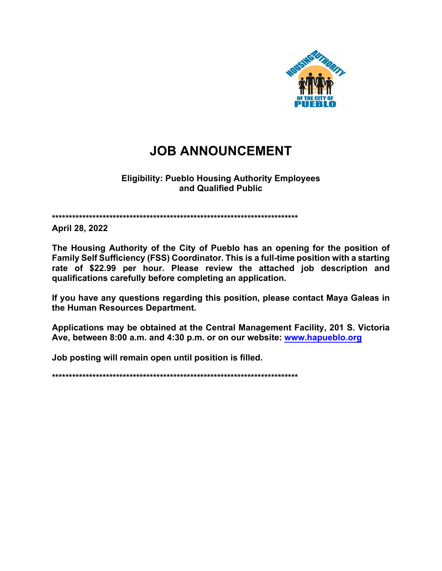

# **JOB ANNOUNCEMENT**

#### **Eligibility: Pueblo Housing Authority Employees** and Qualified Public

April 28, 2022

The Housing Authority of the City of Pueblo has an opening for the position of Family Self Sufficiency (FSS) Coordinator. This is a full-time position with a starting rate of \$22.99 per hour. Please review the attached job description and qualifications carefully before completing an application.

If you have any questions regarding this position, please contact Maya Galeas in the Human Resources Department.

Applications may be obtained at the Central Management Facility, 201 S. Victoria Ave, between 8:00 a.m. and 4:30 p.m. or on our website: www.hapueblo.org

Job posting will remain open until position is filled.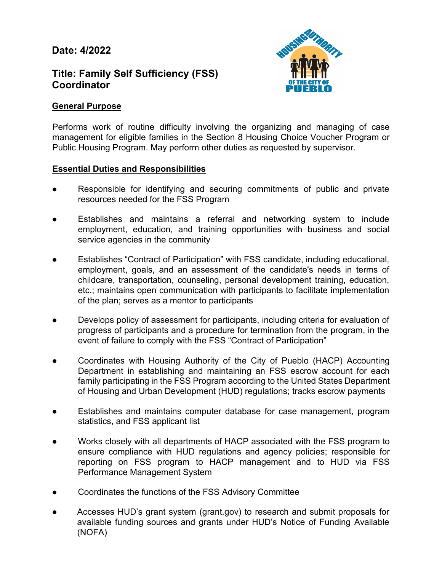# **Date: 4/2022**

# **Title: Family Self Sufficiency (FSS) Coordinator**



#### **General Purpose**

Performs work of routine difficulty involving the organizing and managing of case management for eligible families in the Section 8 Housing Choice Voucher Program or Public Housing Program. May perform other duties as requested by supervisor.

#### **Essential Duties and Responsibilities**

- Responsible for identifying and securing commitments of public and private resources needed for the FSS Program
- Establishes and maintains a referral and networking system to include employment, education, and training opportunities with business and social service agencies in the community
- Establishes "Contract of Participation" with FSS candidate, including educational, employment, goals, and an assessment of the candidate's needs in terms of childcare, transportation, counseling, personal development training, education, etc.; maintains open communication with participants to facilitate implementation of the plan; serves as a mentor to participants
- Develops policy of assessment for participants, including criteria for evaluation of progress of participants and a procedure for termination from the program, in the event of failure to comply with the FSS "Contract of Participation"
- Coordinates with Housing Authority of the City of Pueblo (HACP) Accounting Department in establishing and maintaining an FSS escrow account for each family participating in the FSS Program according to the United States Department of Housing and Urban Development (HUD) regulations; tracks escrow payments
- Establishes and maintains computer database for case management, program statistics, and FSS applicant list
- Works closely with all departments of HACP associated with the FSS program to ensure compliance with HUD regulations and agency policies; responsible for reporting on FSS program to HACP management and to HUD via FSS Performance Management System
- Coordinates the functions of the FSS Advisory Committee
- Accesses HUD's grant system (grant.gov) to research and submit proposals for available funding sources and grants under HUD's Notice of Funding Available (NOFA)